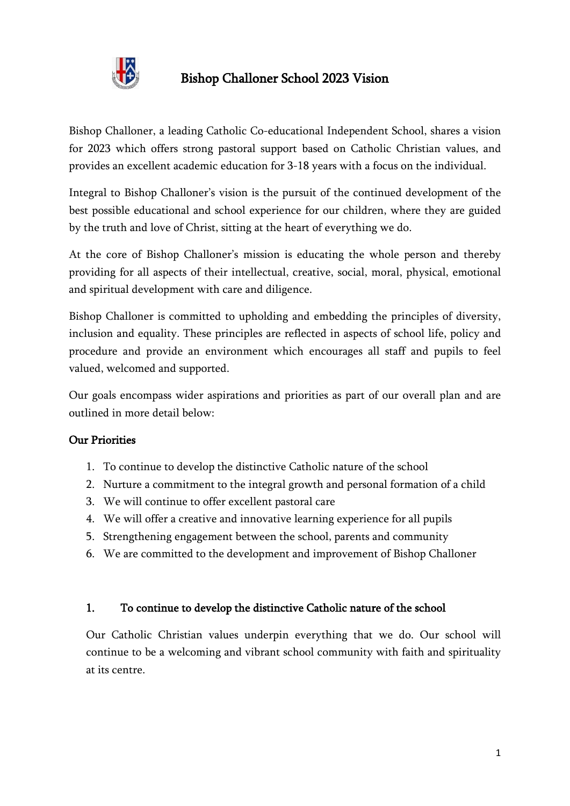

# Bishop Challoner School 2023 Vision

Bishop Challoner, a leading Catholic Co-educational Independent School, shares a vision for 2023 which offers strong pastoral support based on Catholic Christian values, and provides an excellent academic education for 3-18 years with a focus on the individual.

Integral to Bishop Challoner's vision is the pursuit of the continued development of the best possible educational and school experience for our children, where they are guided by the truth and love of Christ, sitting at the heart of everything we do.

At the core of Bishop Challoner's mission is educating the whole person and thereby providing for all aspects of their intellectual, creative, social, moral, physical, emotional and spiritual development with care and diligence.

Bishop Challoner is committed to upholding and embedding the principles of diversity, inclusion and equality. These principles are reflected in aspects of school life, policy and procedure and provide an environment which encourages all staff and pupils to feel valued, welcomed and supported.

Our goals encompass wider aspirations and priorities as part of our overall plan and are outlined in more detail below:

#### Our Priorities

- 1. To continue to develop the distinctive Catholic nature of the school
- 2. Nurture a commitment to the integral growth and personal formation of a child
- 3. We will continue to offer excellent pastoral care
- 4. We will offer a creative and innovative learning experience for all pupils
- 5. Strengthening engagement between the school, parents and community
- 6. We are committed to the development and improvement of Bishop Challoner

#### 1. To continue to develop the distinctive Catholic nature of the school

Our Catholic Christian values underpin everything that we do. Our school will continue to be a welcoming and vibrant school community with faith and spirituality at its centre.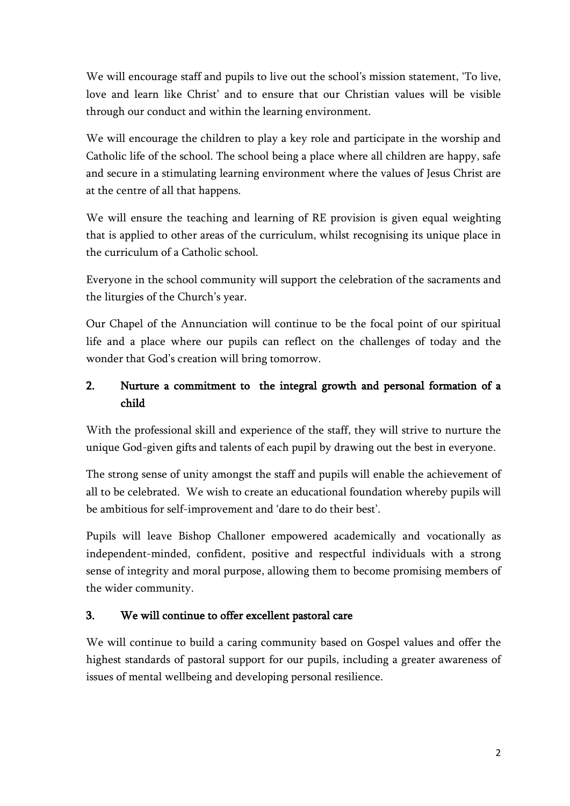We will encourage staff and pupils to live out the school's mission statement, 'To live, love and learn like Christ' and to ensure that our Christian values will be visible through our conduct and within the learning environment.

We will encourage the children to play a key role and participate in the worship and Catholic life of the school. The school being a place where all children are happy, safe and secure in a stimulating learning environment where the values of Jesus Christ are at the centre of all that happens.

We will ensure the teaching and learning of RE provision is given equal weighting that is applied to other areas of the curriculum, whilst recognising its unique place in the curriculum of a Catholic school.

Everyone in the school community will support the celebration of the sacraments and the liturgies of the Church's year.

Our Chapel of the Annunciation will continue to be the focal point of our spiritual life and a place where our pupils can reflect on the challenges of today and the wonder that God's creation will bring tomorrow.

# 2. Nurture a commitment to the integral growth and personal formation of a child

With the professional skill and experience of the staff, they will strive to nurture the unique God-given gifts and talents of each pupil by drawing out the best in everyone.

The strong sense of unity amongst the staff and pupils will enable the achievement of all to be celebrated. We wish to create an educational foundation whereby pupils will be ambitious for self-improvement and 'dare to do their best'.

Pupils will leave Bishop Challoner empowered academically and vocationally as independent-minded, confident, positive and respectful individuals with a strong sense of integrity and moral purpose, allowing them to become promising members of the wider community.

### 3. We will continue to offer excellent pastoral care

We will continue to build a caring community based on Gospel values and offer the highest standards of pastoral support for our pupils, including a greater awareness of issues of mental wellbeing and developing personal resilience.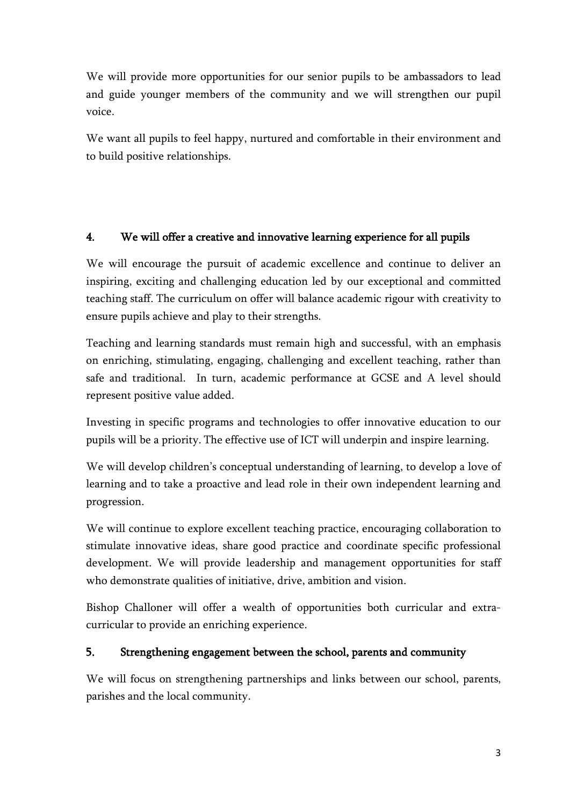We will provide more opportunities for our senior pupils to be ambassadors to lead and guide younger members of the community and we will strengthen our pupil voice.

We want all pupils to feel happy, nurtured and comfortable in their environment and to build positive relationships.

### 4. We will offer a creative and innovative learning experience for all pupils

We will encourage the pursuit of academic excellence and continue to deliver an inspiring, exciting and challenging education led by our exceptional and committed teaching staff. The curriculum on offer will balance academic rigour with creativity to ensure pupils achieve and play to their strengths.

Teaching and learning standards must remain high and successful, with an emphasis on enriching, stimulating, engaging, challenging and excellent teaching, rather than safe and traditional. In turn, academic performance at GCSE and A level should represent positive value added.

Investing in specific programs and technologies to offer innovative education to our pupils will be a priority. The effective use of ICT will underpin and inspire learning.

We will develop children's conceptual understanding of learning, to develop a love of learning and to take a proactive and lead role in their own independent learning and progression.

We will continue to explore excellent teaching practice, encouraging collaboration to stimulate innovative ideas, share good practice and coordinate specific professional development. We will provide leadership and management opportunities for staff who demonstrate qualities of initiative, drive, ambition and vision.

Bishop Challoner will offer a wealth of opportunities both curricular and extracurricular to provide an enriching experience.

## 5. Strengthening engagement between the school, parents and community

We will focus on strengthening partnerships and links between our school, parents, parishes and the local community.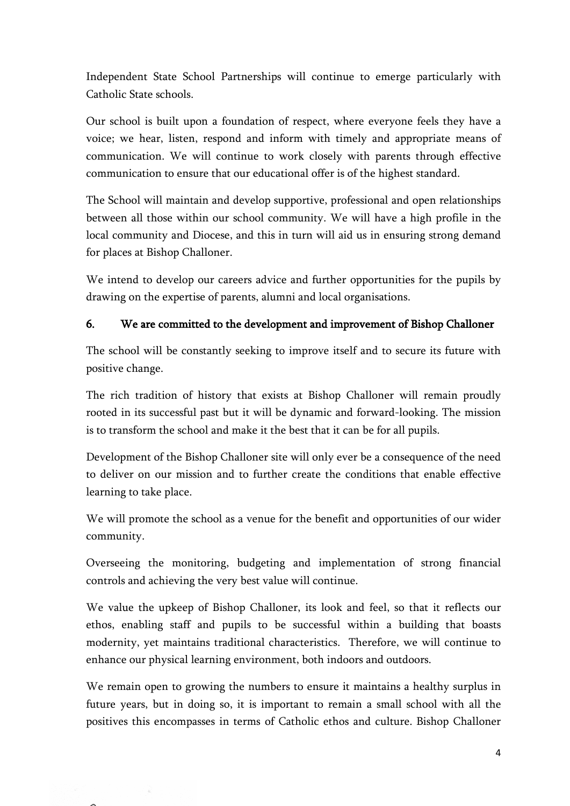Independent State School Partnerships will continue to emerge particularly with Catholic State schools.

Our school is built upon a foundation of respect, where everyone feels they have a voice; we hear, listen, respond and inform with timely and appropriate means of communication. We will continue to work closely with parents through effective communication to ensure that our educational offer is of the highest standard.

The School will maintain and develop supportive, professional and open relationships between all those within our school community. We will have a high profile in the local community and Diocese, and this in turn will aid us in ensuring strong demand for places at Bishop Challoner.

We intend to develop our careers advice and further opportunities for the pupils by drawing on the expertise of parents, alumni and local organisations.

### 6. We are committed to the development and improvement of Bishop Challoner

The school will be constantly seeking to improve itself and to secure its future with positive change.

The rich tradition of history that exists at Bishop Challoner will remain proudly rooted in its successful past but it will be dynamic and forward-looking. The mission is to transform the school and make it the best that it can be for all pupils.

Development of the Bishop Challoner site will only ever be a consequence of the need to deliver on our mission and to further create the conditions that enable effective learning to take place.

We will promote the school as a venue for the benefit and opportunities of our wider community.

Overseeing the monitoring, budgeting and implementation of strong financial controls and achieving the very best value will continue.

We value the upkeep of Bishop Challoner, its look and feel, so that it reflects our ethos, enabling staff and pupils to be successful within a building that boasts modernity, yet maintains traditional characteristics. Therefore, we will continue to enhance our physical learning environment, both indoors and outdoors.

We remain open to growing the numbers to ensure it maintains a healthy surplus in future years, but in doing so, it is important to remain a small school with all the positives this encompasses in terms of Catholic ethos and culture. Bishop Challoner